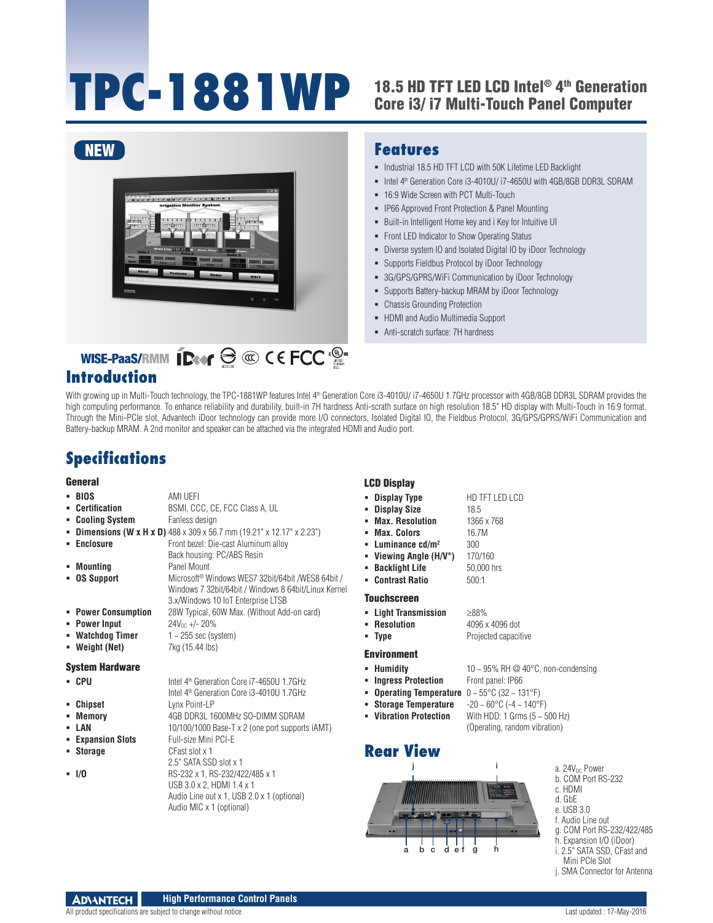# TPC-1881WP 18.5 HD TFT LED LCD Intel® 4th Generation

# Core i3/ i7 Multi-Touch Panel Computer



#### **Features**

- $\blacksquare$  Industrial 18.5 HD TFT LCD with 50K Lifetime LED Backlight
- Intel 4<sup>th</sup> Generation Core i3-4010U/ i7-4650U with 4GB/8GB DDR3L SDRAM
- <sup>-</sup> 16:9 Wide Screen with PCT Multi-Touch
- **IP66 Approved Front Protection & Panel Mounting**
- Built-in Intelligent Home key and i Key for Intuitive UI
- Front LED Indicator to Show Operating Status
- Diverse system IO and Isolated Digital IO by iDoor Technology
- **Supports Fieldbus Protocol by iDoor Technology**
- 3G/GPS/GPRS/WiFi Communication by iDoor Technology
- Supports Battery-backup MRAM by iDoor Technology
- Chassis Grounding Protection
- HDMI and Audio Multimedia Support
- Anti-scratch surface: 7H hardness

#### **Introduction**

With growing up in Multi-Touch technology, the TPC-1881WP features Intel 4<sup>th</sup> Generation Core i3-4010U/ i7-4650U 1.7GHz processor with 4GB/8GB DDR3L SDRAM provides the high computing performance. To enhance reliability and durability, built-in 7H hardness Anti-scrath surface on high resolution 18.5" HD display with Multi-Touch in 16:9 format. Through the Mini-PCIe slot, Advantech iDoor technology can provide more I/O connectors, Isolated Digital IO, the Fieldbus Protocol, 3G/GPS/GPRS/WiFi Communication and Battery-backup MRAM. A 2nd monitor and speaker can be attached via the integrated HDMI and Audio port.

#### **Specifications**

#### General

|                        |                                                                             | mos siepius                  |                  |
|------------------------|-----------------------------------------------------------------------------|------------------------------|------------------|
| - BIOS                 | AMI UEFI                                                                    | • Display Type               | HD TF            |
| <b>Certification</b>   | BSMI, CCC, CE, FCC Class A, UL                                              | <b>Display Size</b>          | 18.5             |
| <b>Cooling System</b>  | Fanless design                                                              | <b>Max. Resolution</b>       | 1366 x           |
|                        | <b>Dimensions (W x H x D)</b> 488 x 309 x 56.7 mm (19.21" x 12.17" x 2.23") | <b>Max. Colors</b>           | 16.7M            |
| • Enclosure            | Front bezel: Die-cast Aluminum alloy                                        | Luminance $cd/m2$            | 300              |
|                        | Back housing: PC/ABS Resin                                                  | Viewing Angle (H/V°)         | 170/16           |
| Mounting               | Panel Mount                                                                 | <b>Backlight Life</b>        | 50,000           |
| <b>OS Support</b>      | Microsoft <sup>®</sup> Windows WES7 32bit/64bit /WES8 64bit /               | <b>Contrast Ratio</b><br>۰.  | 500:1            |
|                        | Windows 7 32bit/64bit / Windows 8 64bit/Linux Kernel                        |                              |                  |
|                        | 3.x/Windows 10 IoT Enterprise LTSB                                          | <b>Touchscreen</b>           |                  |
| • Power Consumption    | 28W Typical, 60W Max. (Without Add-on card)                                 | - Light Transmission         | $\geq 88\%$      |
| • Power Input          | $24V_{DC}$ +/- 20%                                                          | • Resolution                 | 4096 x           |
| • Watchdog Timer       | $1 - 255$ sec (system)                                                      | • Type                       | Project          |
| • Weight (Net)         | 7kg (15.44 lbs)                                                             |                              |                  |
|                        |                                                                             | <b>Environment</b>           |                  |
| <b>System Hardware</b> |                                                                             | Humidity<br>٠                | $10 - 95$        |
| • CPU                  | Intel 4 <sup>th</sup> Generation Core i7-4650U 1.7GHz                       | <b>Ingress Protection</b>    | Front p          |
|                        | Intel 4 <sup>th</sup> Generation Core i3-4010U 1.7GHz                       | <b>Operating Temperature</b> | $0 - 55^{\circ}$ |
| <b>Chipset</b>         | Lvnx Point-LP                                                               | <b>Storage Temperature</b>   | $-20 - 6$        |
| Memory                 | 4GB DDR3L 1600MHz SO-DIMM SDRAM                                             | • Vibration Protection       | With H           |
| LAN                    | 10/100/1000 Base-T x 2 (one port supports iAMT)                             |                              | (Opera           |
| <b>Expansion Slots</b> | Full-size Mini PCI-E                                                        |                              |                  |
| <b>Storage</b>         | CFast slot x 1                                                              | <b>Rear View</b>             |                  |
|                        | 2.5" SATA SSD slot x 1                                                      |                              |                  |
| $-1/0$                 | RS-232 x 1, RS-232/422/485 x 1                                              |                              |                  |
|                        | USB 3.0 x 2, HDMI 1.4 x 1                                                   |                              |                  |
|                        | Audio Line out x 1, USB 2.0 x 1 (optional)                                  |                              |                  |
|                        | Audio MIC x 1 (optional)                                                    |                              |                  |
|                        |                                                                             |                              |                  |
|                        |                                                                             |                              |                  |

#### LCD Display

- **HD TFT LED LCD** 
	-
	- **Max. Resolution** 1366 x 768
- **Viewing Angle (H/V°)** 170/160
- **50,000 hrs Contrast Ratio** 500:1
	- **Light Transmission** ≥88%
		- **Resolution** 4096 x 4096 dot Projected capacitive

#### **Humidity** 10 ~ 95% RH @ 40°C, non-condensing

- **Front panel: IP66**
- **Operating Temperature** 0 ~ 55°C (32 ~ 131°F)
- **Storage Temperature** -20 ~ 60°C (-4 ~ 140°F)
	- With HDD: 1 Grms (5 ~ 500 Hz) (Operating, random vibration)



a. 24V<sub>DC</sub> Power b. COM Port RS-232

- c. HDMI
- d. GbE
- e. USB 3.0
- f. Audio Line out
- g. COM Port RS-232/422/485
- h. Expansion I/O (iDoor) i. 2.5" SATA SSD, CFast and
- Mini PCIe Slot
- j. SMA Connector for Antenna

**ADVANTECH High Performance Control Panels**